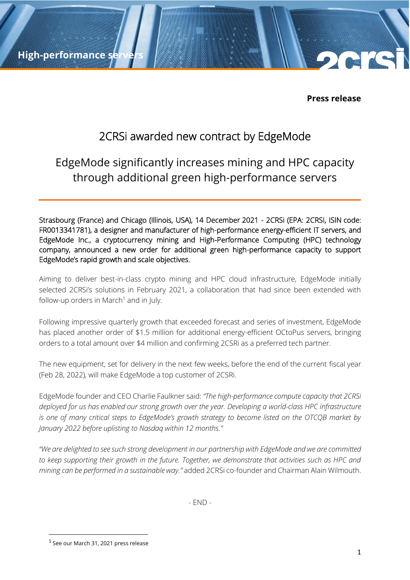**High-performance se** 

**Press release**

## 2CRSi awarded new contract by EdgeMode

# EdgeMode significantly increases mining and HPC capacity through additional green high-performance servers

Strasbourg (France) and Chicago (Illinois, USA), 14 December 2021 - 2CRSi (EPA: 2CRSI, ISIN code: FR0013341781), a designer and manufacturer of high-performance energy-efficient IT servers, and EdgeMode Inc., a cryptocurrency mining and High-Performance Computing (HPC) technology company, announced a new order for additional green high-performance capacity to support EdgeMode's rapid growth and scale objectives.

Aiming to deliver best-in-class crypto mining and HPC cloud infrastructure, EdgeMode initially selected 2CRSi's solutions in February 2021, a collaboration that had since been extended with follow-up orders in March<sup>1</sup> and in July.

Following impressive quarterly growth that exceeded forecast and series of investment, EdgeMode has placed another order of \$1.5 million for additional energy-efficient OCtoPus servers, bringing orders to a total amount over \$4 million and confirming 2CSRi as a preferred tech partner.

The new equipment, set for delivery in the next few weeks, before the end of the current fiscal year (Feb 28, 2022), will make EdgeMode a top customer of 2CSRi.

EdgeMode founder and CEO Charlie Faulkner said: *"The high-performance compute capacity that 2CRSi deployed for us has enabled our strong growth over the year. Developing a world-class HPC infrastructure is one of many critical steps to EdgeMode's growth strategy to become listed on the OTCQB market by January 2022 before uplisting to Nasdaq within 12 months."*

*"We are delighted to see such strong development in our partnership with EdgeMode and we are committed to keep supporting their growth in the future. Together, we demonstrate that activities such as HPC and mining can be performed in a sustainable way."* added 2CRSi co-founder and Chairman Alain Wilmouth.

- END -

 $^{\rm 1}$  See our March 31, 2021 press release